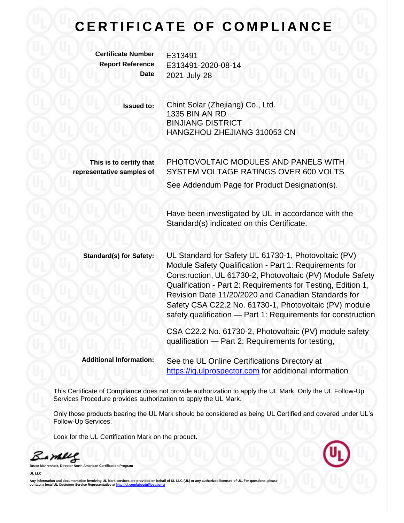## **CERTIFICATE OF COMPLIANCE**

**Certificate Number** E313491

**Report Reference** E313491-2020-08-14 **Date** 2021-July-28

> **Issued to:** Chint Solar (Zhejiang) Co., Ltd. 1335 BIN AN RD BINJIANG DISTRICT HANGZHOU ZHEJIANG 310053 CN

**This is to certify that representative samples of** PHOTOVOLTAIC MODULES AND PANELS WITH SYSTEM VOLTAGE RATINGS OVER 600 VOLTS See Addendum Page for Product Designation(s).

Have been investigated by UL in accordance with the Standard(s) indicated on this Certificate.

**Standard(s) for Safety:** UL Standard for Safety UL 61730-1, Photovoltaic (PV) Module Safety Qualification - Part 1: Requirements for Construction, UL 61730-2, Photovoltaic (PV) Module Safety Qualification - Part 2: Requirements for Testing, Edition 1, Revision Date 11/20/2020 and Canadian Standards for Safety CSA C22.2 No. 61730-1, Photovoltaic (PV) module safety qualification — Part 1: Requirements for construction

> CSA C22.2 No. 61730-2, Photovoltaic (PV) module safety qualification — Part 2: Requirements for testing,

**Additional Information:** See the UL Online Certifications Directory at [https://iq.ulprospector.com](https://iq.ulprospector.com/) for additional information

This Certificate of Compliance does not provide authorization to apply the UL Mark. Only the UL Follow-Up Services Procedure provides authorization to apply the UL Mark.

Only those products bearing the UL Mark should be considered as being UL Certified and covered under UL's Follow-Up Services.

Look for the UL Certification Mark on the product.

Barney

**b Broaran** 

**UL LLC**

Any information and documentation involving UL Mark services are provided on behalf of UL LLC (UL) or any authorized licer **commation and documentation inverving OE mark Service Appresentative a[t http://ul.com/aboutul/locations/](http://ul.com/aboutul/locations/)**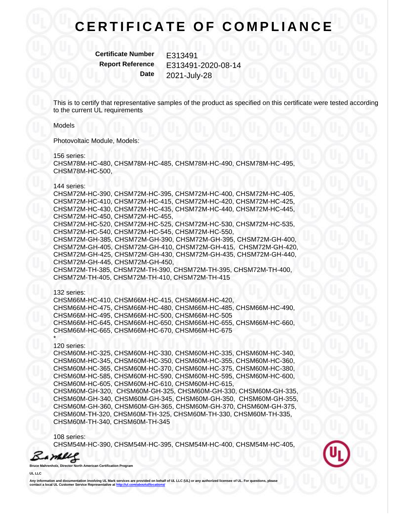## **CERTIFICATE OF COMPLIANCE**

**Certificate Number** E313491

**Report Reference** E313491-2020-08-14 **Date** 2021-July-28

This is to certify that representative samples of the product as specified on this certificate were tested according to the current UL requirements

Models

Photovoltaic Module, Models:

156 series:

CHSM78M-HC-480, CHSM78M-HC-485, CHSM78M-HC-490, CHSM78M-HC-495, CHSM78M-HC-500,

144 series:

CHSM72M-HC-390, CHSM72M-HC-395, CHSM72M-HC-400, CHSM72M-HC-405, CHSM72M-HC-410, CHSM72M-HC-415, CHSM72M-HC-420, CHSM72M-HC-425, CHSM72M-HC-430, CHSM72M-HC-435, CHSM72M-HC-440, CHSM72M-HC-445, CHSM72M-HC-450, CHSM72M-HC-455, CHSM72M-HC-520, CHSM72M-HC-525, CHSM72M-HC-530, CHSM72M-HC-535, CHSM72M-HC-540, CHSM72M-HC-545, CHSM72M-HC-550, CHSM72M-GH-385, CHSM72M-GH-390, CHSM72M-GH-395, CHSM72M-GH-400, CHSM72M-GH-405, CHSM72M-GH-410, CHSM72M-GH-415, CHSM72M-GH-420, CHSM72M-GH-425, CHSM72M-GH-430, CHSM72M-GH-435, CHSM72M-GH-440, CHSM72M-GH-445, CHSM72M-GH-450, CHSM72M-TH-385, CHSM72M-TH-390, CHSM72M-TH-395, CHSM72M-TH-400, CHSM72M-TH-405, CHSM72M-TH-410, CHSM72M-TH-415

132 series:

CHSM66M-HC-410, CHSM66M-HC-415, CHSM66M-HC-420, CHSM66M-HC-475, CHSM66M-HC-480, CHSM66M-HC-485, CHSM66M-HC-490, CHSM66M-HC-495, CHSM66M-HC-500, CHSM66M-HC-505 CHSM66M-HC-645, CHSM66M-HC-650, CHSM66M-HC-655, CHSM66M-HC-660, CHSM66M-HC-665, CHSM66M-HC-670, CHSM66M-HC-675

120 series:

\*

CHSM60M-HC-325, CHSM60M-HC-330, CHSM60M-HC-335, CHSM60M-HC-340, CHSM60M-HC-345, CHSM60M-HC-350, CHSM60M-HC-355, CHSM60M-HC-360, CHSM60M-HC-365, CHSM60M-HC-370, CHSM60M-HC-375, CHSM60M-HC-380, CHSM60M-HC-585, CHSM60M-HC-590, CHSM60M-HC-595, CHSM60M-HC-600, CHSM60M-HC-605, CHSM60M-HC-610, CHSM60M-HC-615, CHSM60M-GH-320, CHSM60M-GH-325, CHSM60M-GH-330, CHSM60M-GH-335, CHSM60M-GH-340, CHSM60M-GH-345, CHSM60M-GH-350, CHSM60M-GH-355, CHSM60M-GH-360, CHSM60M-GH-365, CHSM60M-GH-370, CHSM60M-GH-375, CHSM60M-TH-320, CHSM60M-TH-325, CHSM60M-TH-330, CHSM60M-TH-335, CHSM60M-TH-340, CHSM60M-TH-345

108 series: CHSM54M-HC-390, CHSM54M-HC-395, CHSM54M-HC-400, CHSM54M-HC-405,

Bambles

**Bruce Mahrenholz, Director North American Certification Program**

**UL LLC**

**Any information and documentation involving UL Mark services are provided on behalf of UL LLC (UL) or any authorized licensee of UL. For questions, please communism and documentation inverving SE mark Service Representative a[t http://ul.com/aboutul/locations/](http://ul.com/aboutul/locations/)**